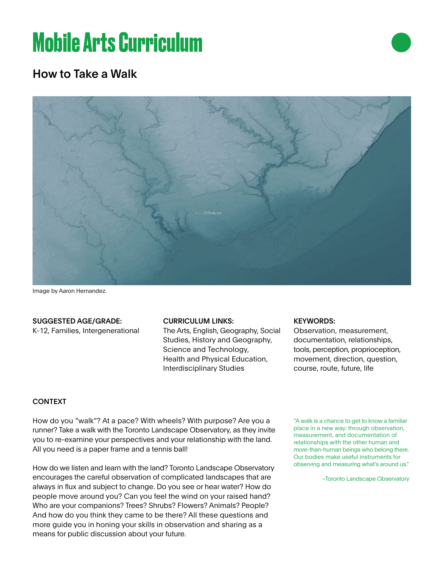# **Mobile Arts Curriculum**

# How to Take a Walk



Image by Aaron Hernandez.

### SUGGESTED AGE/GRADE:

K-12, Families, Intergenerational

#### CURRICULUM LINKS:

The Arts, English, Geography, Social Studies, History and Geography, Science and Technology, Health and Physical Education, Interdisciplinary Studies

#### KEYWORDS:

Observation, measurement, documentation, relationships, tools, perception, proprioception, movement, direction, question, course, route, future, life

## CONTEXT

How do you "walk"? At a pace? With wheels? With purpose? Are you a runner? Take a walk with the Toronto Landscape Observatory, as they invite you to re-examine your perspectives and your relationship with the land. All you need is a paper frame and a tennis ball!

How do we listen and learn with the land? Toronto Landscape Observatory encourages the careful observation of complicated landscapes that are always in flux and subject to change. Do you see or hear water? How do people move around you? Can you feel the wind on your raised hand? Who are your companions? Trees? Shrubs? Flowers? Animals? People? And how do you think they came to be there? All these questions and more guide you in honing your skills in observation and sharing as a means for public discussion about your future.

"A walk is a chance to get to know a familiar place in a new way: through observation, measurement, and documentation of relationships with the other human and more-than-human beings who belong there. Our bodies make useful instruments for observing and measuring what's around us."

–Toronto Landscape Observatory